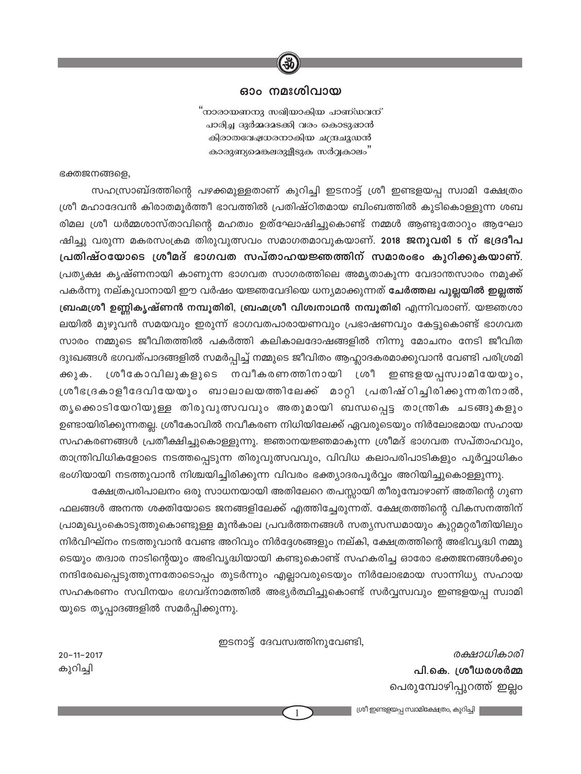

#### ഓം നമഃശിവായ

"<br>നാരായണനു സഖിയാകിയ പാണ്ഡവന് പാരിച്ച ദുർമ്മദമടക്കി വരം കൊടുഷാൻ കിരാതവേഷധരനാകിയ ചന്ദ്രചുഡൻ ്.<br>കാരുണ്യമെങ്കലരുളീടുക സർവ്വകാലം

ഭക്തജനങ്ങളെ,

സഹസ്രാബ്ദത്തിന്റെ പഴക്കമുള്ളതാണ് കുറിച്ചി ഇടനാട്ട് ശ്രീ ഇണ്ടളയപ്പ സ്വാമി ക്ഷേത്രം ശ്രീ മഹാദേവൻ കിരാതമൂർത്തീ ഭാവത്തിൽ പ്രതിഷ്ഠിതമായ ബിംബത്തിൽ കുടികൊള്ളുന്ന ശബ രിമല ശ്രീ ധർമ്മശാസ്താവിന്റെ മഹത്വം ഉത്ഘോഷിച്ചുകൊണ്ട് നമ്മൾ ആണ്ടുതോറും ആഘോ ഷിച്ചു വരുന്ന മകരസംക്രമ തിരുവുത്സവം സമാഗതമാവുകയാണ്. 2018 ജനുവരി 5 ന് ഭദ്രദീപ പ്രതിഷ്ഠയോടെ ശ്രീമദ് ഭാഗവത സപ്താഹയജ്ഞത്തിന് സമാരംഭം കുറിക്കുകയാണ്. പ്രത്യക്ഷ കൃഷ്ണനായി കാണുന്ന ഭാഗവത സാഗരത്തിലെ അമൃതാകുന്ന വേദാന്തസാരം നമുക്ക് പകർന്നു നല്കുവാനായി ഈ വർഷം യജ്ഞവേദിയെ ധന്യമാക്കുന്നത് <mark>ചേർത്തല പുല്ലയിൽ ഇല്ലത്ത്</mark> ബ്രഹ്മശ്രീ ഉണ്ണികൃഷ്ണൻ നമ്പൂതിരി, ബ്രഹ്മശ്രീ വിശ്വനാഥൻ നമ്പൂതിരി എന്നിവരാണ്. യജ്ഞശാ ലയിൽ മുഴുവൻ സമയവും ഇരുന്ന് ഭാഗവതപാരായണവും പ്രഭാഷണവും കേട്ടുകൊണ്ട് ഭാഗവത സാരം നമ്മുടെ ജീവിതത്തിൽ പകർത്തി കലികാലദോഷങ്ങളിൽ നിന്നു മോചനം നേടി ജീവിത ദുഃഖങ്ങൾ ഭഗവത്പാദങ്ങളിൽ സമർപ്പിച്ച് നമ്മുടെ ജീവിതം ആഹ്ലാദകരമാക്കുവാൻ വേണ്ടി പരിശ്രമി ശ്രീകോവിലുകളുടെ നവീകരണത്തിനായി ശ്രീ ഇണ്ടളയപ്പസ്വാമിയേയും, ക്കുക. ശ്രീഭദ്രകാളീദേവിയേയും ബാലാലയത്തിലേക്ക് മാറ്റി പ്രതിഷ്ഠിച്ചിരിക്കുന്നതിനാൽ, തൃക്കൊടിയേറിയുള്ള തിരുവുത്സവവും അതുമായി ബന്ധപ്പെട്ട താന്ത്രിക ചടങ്ങുകളും ഉണ്ടായിരിക്കുന്നതല്ല. ശ്രീകോവിൽ നവീകരണ നിധിയിലേക്ക് ഏവരുടെയും നിർലോഭമായ സഹായ സഹകരണങ്ങൾ പ്രതീക്ഷിച്ചുകൊള്ളുന്നു. ജ്ഞാനയജ്ഞമാകുന്ന ശ്രീമദ് ഭാഗവത സപ്താഹവും, താന്ത്രിവിധികളോടെ നടത്തപ്പെടുന്ന തിരുവുത്സവവും, വിവിധ കലാപരിപാടികളും പൂർവ്വാധികം ഭംഗിയായി നടത്തുവാൻ നിശ്ചയിച്ചിരിക്കുന്ന വിവരം ഭക്ത്യാദരപൂർവ്വം അറിയിച്ചുകൊള്ളുന്നു.

ക്ഷേത്രപരിപാലനം ഒരു സാധനയായി അതിലേറെ തപസ്സായി തീരുമ്പോഴാണ് അതിന്റെ ഗുണ ഫലങ്ങൾ അനന്ത ശക്തിയോടെ ജനങ്ങളിലേക്ക് എത്തിച്ചേരുന്നത്. ക്ഷേത്രത്തിന്റെ വികസനത്തിന് പ്രാമുഖ്യംകൊടുത്തുകൊണ്ടുള്ള മുൻകാല പ്രവർത്തനങ്ങൾ സത്യസന്ധമായും കുറ്റമറ്റരീതിയിലും നിർവിഘ്നം നടത്തുവാൻ വേണ്ട അറിവും നിർദ്ദേശങ്ങളും നല്കി, ക്ഷേത്രത്തിന്റെ അഭിവൃദ്ധി നമ്മു ടെയും തദ്വാര നാടിന്റെയും അഭിവൃദ്ധിയായി കണ്ടുകൊണ്ട് സഹകരിച്ച ഓരോ ഭക്തജനങ്ങൾക്കും നന്ദിരേഖപ്പെടുത്തുന്നതോടൊപ്പം തുടർന്നും എല്ലാവരുടെയും നിർലോഭമായ സാന്നിധൃ സഹായ സഹകരണം സവിനയം ഭഗവദ്നാമത്തിൽ അഭ്യർത്ഥിച്ചുകൊണ്ട് സർവ്വസ്വവും ഇണ്ടളയപ്പ സ്വാമി യുടെ തൃപ്പാദങ്ങളിൽ സമർപ്പിക്കുന്നു.

ഇടനാട്ട് ദേവസ്വത്തിനുവേണ്ടി,

 $20 - 11 - 2017$ കുറിച്ചി

രക്ഷാധികാരി പി.കെ. ശ്രീധരശർമ്മ പെരുമ്പോഴിപ്പുറത്ത് ഇല്ലം

ശ്രീ ഇണ്ടളയപ്പ സ്വാമിക്ഷേത്രം, കുറിച്ചി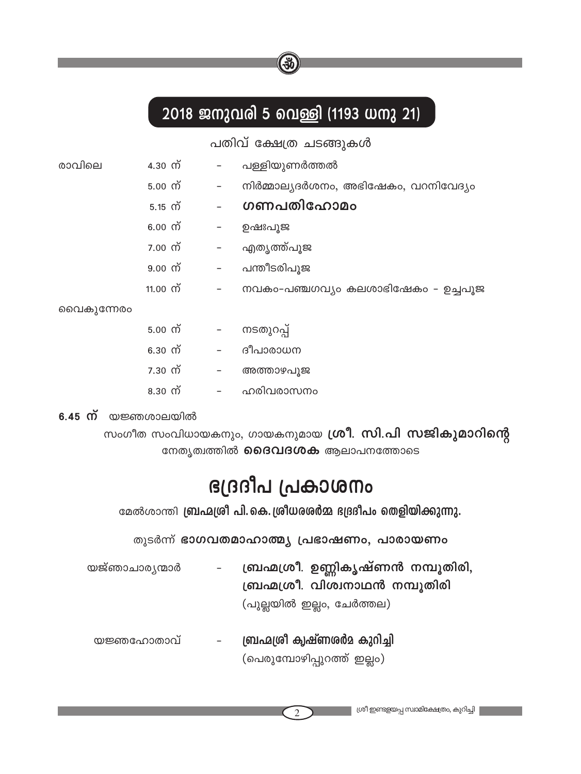# 2018 ജനുവരി 5 വെള്ളി (1193 ധനു 21)

ு

|            |              |                          | പതിവ് ക്ഷേത്ര ചടങ്ങുകൾ               |
|------------|--------------|--------------------------|--------------------------------------|
| രാവിലെ     | 4.30 ന്      | $\sim$ $-$               | പള്ളിയുണർത്തൽ                        |
|            | 5.00 ന്      | $\overline{\phantom{a}}$ | നിർമ്മാല്യദർശനം, അഭിഷേകം, വറനിവേദ്യം |
|            | $5.15 \,$ ന് |                          | ഗണപതിഹോമം                            |
|            | $6.00$ ന്    | $\sigma_{\rm{max}}$      | ഉഷഃപുജ                               |
|            | 7.00 ന്      |                          | – എതൃത്ത്പൂജ                         |
|            | 9.00 ന്      | $\overline{\phantom{a}}$ | പന്തീടരിപുജ                          |
|            | 11.00 ന്     | $\overline{\phantom{a}}$ | നവകം-പഞ്ചഗവ്യം കലശാഭിഷേകം - ഉച്ചപൂജ  |
| വൈകുന്നേരം |              |                          |                                      |
|            | 5.00 ന്      |                          | – നടതുറപ്പ്                          |
|            | 6.30 ന്      | $\overline{\phantom{a}}$ | ദീപാരാധന                             |
|            | 7.30 ന്      | $\overline{\phantom{a}}$ | അത്താഴപൂജ                            |
|            | $8.30 \n m$  | $\sim$ $-$               | ഹരിവരാസനം                            |
|            |              |                          |                                      |

 $6.45$  ന് യജ്ഞശാലയിൽ

സംഗീത സംവിധായകനും, ഗായകനുമായ ഗ്രീ. സി.പി സജികുമാറിന്റെ നേതൃത്വത്തിൽ **ദൈവദശക** ആലാപനത്തോടെ

# ന്താശമ്പ്വ പ്രദ്വേള

മേൽശാന്തി ബ്രഹ്മശ്രീ പി.കെ.ശ്രീധരശർമ്മ ദദ്രദീപം തെളിയിക്കുന്നു.

തുടർന്ന് ഭാഗവതമാഹാത്മ്യ പ്രഭാഷണം, പാരായണം

- ബ്രഹ്മശ്രീ. ഉണ്ണികൃഷ്ണൻ നമ്പൂതിരി, യജ്ഞാചാര്യന്മാർ ബ്രഹ്മശ്രീ. വിശ്വനാഥൻ നമ്പൂതിരി (പുല്ലയിൽ ഇല്ലം, ചേർത്തല)
	- ബ്രഹ്മശ്രീ കൃഷ്ണശർമ കുറിച്ചി യജ്ഞഹോതാവ് (പെരുമ്പോഴിപ്പുറത്ത് ഇല്ലം)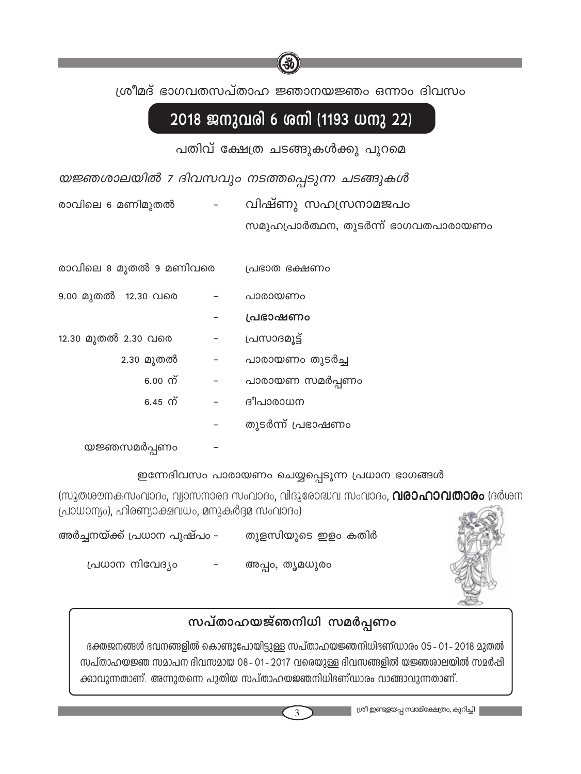ശ്രീമദ് ഭാഗവതസപ്താഹ ജ്ഞാനയജ്ഞം ഒന്നാം ദിവസം

## 2018 ജനുവരി 6 ശനി (1193 ധനു 22)

പതിവ് ക്ഷേത്ര ചടങ്ങുകൾക്കു പുറമെ

യജ്ഞശാലയിൽ 7 ദിവസവും നടത്തപ്പെടുന്ന ചടങ്ങുകൾ

വിഷ്ണു സഹസ്രനാമജപം രാവിലെ 6 മണിമുതൽ

സമൂഹപ്രാർത്ഥന, തുടർന്ന് ഭാഗവതപാരായണം

| രാവിലെ 8 മുതൽ 9 മണിവരെ |   | പ്രഭാത ഭക്ഷണം     |
|------------------------|---|-------------------|
| 9.00 മുതൽ 12.30 വരെ    |   | പാരായണം           |
|                        |   | പ്രഭാഷണം          |
| 12.30 മുതൽ 2.30 വരെ    |   | പ്രസാദമൂട്ട്      |
| 2.30 മുതൽ              |   | പാരായണം തുടർച്ച   |
| $6.00$ ന്              | - | പാരായണ സമർപ്പണം   |
| $6.45 \, \omega$       |   | ദീപാരാധന          |
|                        |   | തുടർന്ന് പ്രഭാഷണം |
| യജ്ഞസമർപണം             |   |                   |

ഇന്നേദിവസം പാരായണം ചെയ്യപ്പെടുന്ന പ്രധാന ഭാഗങ്ങൾ

(സുതശൗനകസംവാദം, വ്യാസനാരദ സംവാദം, വിദുരോദ്ധവ സംവാദം, **വരാഹാവതാരം** (ദർശന (പാധാന്യം), ഹിരണ്യാക്ഷവധം, മനുകർദ്ദമ സംവാദം)

| അർച്ചനയ്ക്ക് പ്രധാന പുഷ്പം – |   | തുളസിയുടെ ഇളം കതിർ |  |
|------------------------------|---|--------------------|--|
| പ്രധാന നിവേദ്യം              | - | അപ്പം, തൃമധുരം     |  |



## സപ്താഹയജ്ഞനിധി സമർപ്പണം

ഭക്തജനങ്ങൾ ഭവനങ്ങളിൽ കൊണ്ടുപോയിട്ടുള്ള സപ്താഹയജ്ഞനിധിഭണ്ഡാരം 05 - 01 - 2018 മുതൽ സപ്താഹയജ്ഞ സമാപന ദിവസമായ 08-01-2017 വരെയുള്ള ദിവസങ്ങളിൽ യജ്ഞശാലയിൽ സമർപ്പി ക്കാവുന്നതാണ്. അന്നുതന്നെ പുതിയ സപ്താഹയജ്ഞനിധിഭണ്ഡാരം വാങ്ങാവുന്നതാണ്.

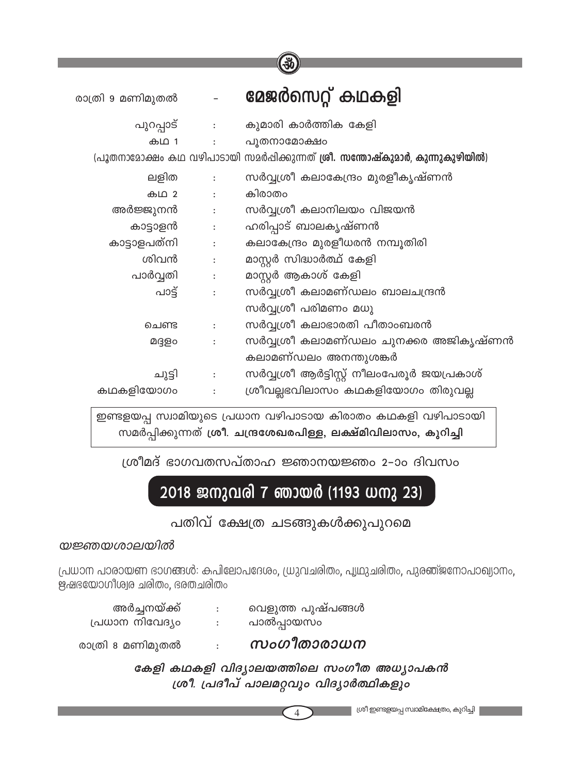|                  |                                                                                       | ινν                                                                                   |
|------------------|---------------------------------------------------------------------------------------|---------------------------------------------------------------------------------------|
| രാത്രി 9 മണിമുതൽ |                                                                                       | മേജർസെറ്റ് കഥകളി                                                                      |
|                  |                                                                                       | പുറപ്പാട് : കുമാരി കാർത്തിക കേളി                                                      |
|                  |                                                                                       | കഥ 1 : പൂതനാമോക്ഷം                                                                    |
|                  |                                                                                       | (പൂതനാമോക്ഷം കഥ വഴിപാടായി സമർപ്പിക്കുന്നത് <b>ശ്രീ. സന്തോഷ്കുമാർ, കുന്നുകുഴിയിൽ</b> ) |
|                  |                                                                                       | ലളിത : സർവ്വശ്രീ കലാകേന്ദ്രം മുരളീകൃഷ്ണൻ                                              |
| കഥ 2             | $\ddot{\cdot}$                                                                        | കിരാതം                                                                                |
| അർജ്ജുനൻ :       |                                                                                       | സർവ്വശീ കലാനിലയം വിജയൻ                                                                |
| കാട്ടാളൻ         | $\mathcal{L}^{\text{max}}_{\text{max}}$ . The $\mathcal{L}^{\text{max}}_{\text{max}}$ | ഹരിപ്പാട് ബാലകൃഷ്ണൻ                                                                   |
| കാട്ടാളപത്നി     | $\mathcal{L}^{\text{max}}_{\text{max}}$ . The $\mathcal{L}^{\text{max}}_{\text{max}}$ | കലാകേന്ദ്രം മുരളീധരൻ നമ്പൂതിരി                                                        |
| ശിവൻ             | $\mathbb{E}[\mathcal{E}^{\text{max}}]$                                                | മാസ്റ്റർ സിദ്ധാർത്ഥ് കേളി                                                             |
| പാർവ്വതി :       |                                                                                       | മാസ്റ്റർ ആകാശ് കേളി                                                                   |
| പാട്ട്           | $\sim 100$ M $_\odot$                                                                 | സർവ്വശ്രീ കലാമണ്ഡലം ബാലചന്ദ്രൻ                                                        |
|                  |                                                                                       | സർവ്വശ്രീ പരിമണം മധു                                                                  |
| ചെണ്ട            | $\ddot{\cdot}$                                                                        | സർവ്വശ്രീ കലാഭാരതി പീതാംബരൻ                                                           |
| മദ്ദളം           | $\ddot{\phantom{a}}$                                                                  | സർവ്വശ്രീ കലാമണ്ഡലം ചുനക്കര അജികൃഷ്ണൻ                                                 |
|                  |                                                                                       | കലാമണ്ഡലം അനന്തുശങ്കർ                                                                 |
| ചുട്ടി           | $\ddot{\cdot}$                                                                        | സർവ്വശ്രീ ആർട്ടിസ്റ്റ് നീലംപേരൂർ ജയപ്രകാശ്                                            |
| കഥകളിയോഗം        |                                                                                       | ശ്രീവല്ലഭവിലാസം കഥകളിയോഗം തിരുവല്ല                                                    |

ഇണ്ടളയപ്പ സ്വാമിയുടെ പ്രധാന വഴിപാടായ കിരാതം കഥകളി വഴിപാടായി സമർപ്പിക്കുന്നത് ശ്രീ. ചന്ദ്രശേഖരപിള്ള, ലക്ഷ്മിവിലാസം, കുറിച്ചി

ശ്രീമദ് ഭാഗവതസപ്താഹ ജ്ഞാനയജ്ഞം 2-ാം ദിവസം

# 2018 ജനുവരി 7 ഞായർ (1193 ധനു 23)

പതിവ് ക്ഷേത്ര ചടങ്ങുകൾക്കുപുറമെ

#### യജ്ഞയശാലയിൽ

പ്രധാന പാരായണ ഭാഗങ്ങൾ: കപിലോപദേശം, ധ്രുവചരിതം, പൃഥുചരിതം, പുരഞ്ജനോപാഖ്യാനം, ഋഷഭയോഗിശ്വര ചരിതം, ഭരതചരിതം

| പ്രധാന നിവേദ്യം | പാൽപ്പായസം        |
|-----------------|-------------------|
| അർച്ചനയ്ക്ക്    | വെളുത്ത പുഷ്പങ്ങൾ |

രാത്രി 8 മണിമുതൽ സംഗീതാരാധന

> കേളി കഥകളി വിദ്യാലയത്തിലെ സംഗീത അധ്യാപകൻ ശ്രീ. പ്രദീപ് പാലമറ്റവും വിദ്യാർത്ഥികളും

 $\overline{4}$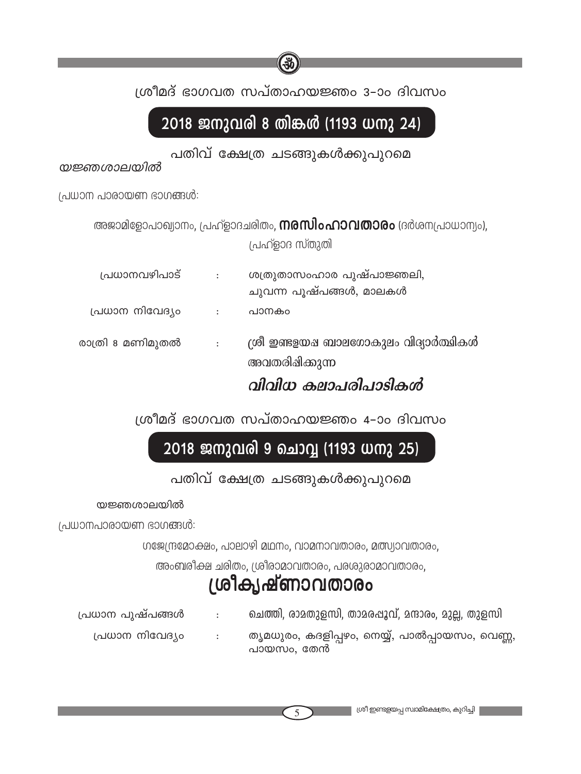

# 2018 ജനുവരി 8 തിങ്കൾ (1193 ധനു 24)

പതിവ് ക്ഷേത്ര ചടങ്ങുകൾക്കുപുറമെ

യജ്ഞശാലയിൽ

 $($ പധാന പാരായണ ഭാഗങ്ങൾ:

അജാമിളോപാഖ്യാനം, പ്രഹ്ളാദചരിതം, **നരസിംഹാവതാരം** (ദർശനപ്രാധാന്യം),

(പഹ്ളാദ സ്തുതി

| പ്രധാനവഴിപാട്    | $\ddot{\phantom{a}}$ | ശത്രുതാസംഹാര പുഷ്പാജ്ഞലി,<br>ചുവന്ന പൂഷ്പങ്ങൾ, മാലകൾ   |
|------------------|----------------------|--------------------------------------------------------|
| പ്രധാന നിവേദ്യം  | $\ddot{\phantom{a}}$ | പാനകം                                                  |
| രാത്രി 8 മണിമുതൽ | $\cdot$ :            | ്രരീ ഇണ്ടളയഷ ബാലഗോകുലം വിദ്യാർത്ഥികൾ<br>അവതരിഷിക്കുന്ന |

വിവിധ കലാപരിപാടിക*ൻ* 

 $100$ ിമദ് ഭാഗവത സപ്താഹയജ്ഞം 4–ാം ദിവസം

## 2018 ജനുവരി 9 ചൊവ്വ (1193 ധനു 25)

### പതിവ് ക്ഷേത്ര ചടങ്ങുകൾക്കുപുറമെ

യജ്ഞശാലയിൽ

 $($ പധാനപാരായണ ഭാഗങ്ങൾ:

 $W(0, \mathbb{R})$  ( $W(0, \mathbb{R})$ -alogal and  $\mathbb{R}$  and  $\mathbb{R}$  and  $\mathbb{R}$  are  $\mathbb{R}$  and  $\mathbb{R}$  are  $\mathbb{R}$  and  $\mathbb{R}$  are  $\mathbb{R}$  and  $\mathbb{R}$  are  $\mathbb{R}$  are  $\mathbb{R}$  are  $\mathbb{R}$  are  $\mathbb{R}$  are  $\mathbb{R}$  are

അംബരീക്ഷ ചരിതം, ശ്രീരാമാവതാരം, പരശുരാമാവതാരം,

# ്രിക്യഷ്ണാവതാരം

{][m\ ]pjv]-߃ : sNØn, cma-Xp-f-kn, Xma-c-∏q-hv, aµm-cw, ap√, Xpfkn (പധാന നിവേദ്യം തൃമധുരം, കദളിപ്പഴം, നെയ്യ്, പാൽപ്പായസം, വെണ്ണ,

പായസം, തേൻ

5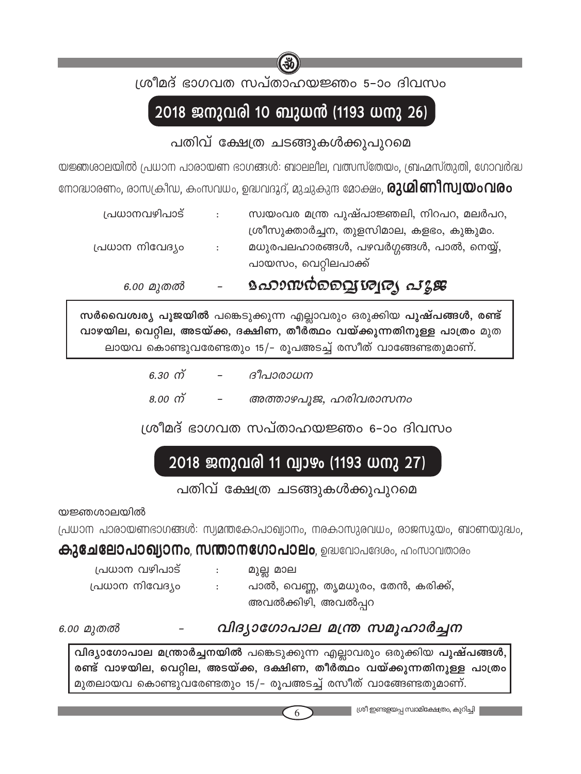

ശ്രീമദ് ഭാഗവത സപ്താഹയജ്ഞം 5–ാം ദിവസം

# 2018 ജനുവരി 10 ബുധൻ (1193 ധനു 26)

## പതിവ് ക്ഷേത്ര ചടങ്ങുകൾക്കുപുറമെ

യജ്ഞശാലയിൽ പ്രധാന പാരായണ ഭാഗങ്ങൾ: ബാലലീല, വത്സസ്തേയം, ബ്രഹ്മസ്തുതി, ഗോവർദ്ധ നോദ്ധാരണം, രാസക്രീഡ, കംസവധം, ഉദ്ധവദൂദ്, മുചുകുന്ദ മോക്ഷം, **രുശിണീസ്വയംവരം** 

| 6.00 മുതൽ       |                          | உலையும்வையாடு வதே                          |
|-----------------|--------------------------|--------------------------------------------|
|                 |                          | പായസം, വെറ്റിലപാക്ക്                       |
| പ്രധാന നിവേദ്യം | $\sim$ 1.                | മധുരപലഹാരങ്ങൾ, പഴവർഗ്ഗങ്ങൾ, പാൽ, നെയ്യ്,   |
|                 |                          | ശ്രീസുക്താർച്ചന, തുളസിമാല, കളഭം, കുങ്കുമം. |
| പ്രധാനവഴിപാട്   | $\sim 1000$ km s $^{-1}$ | സ്വയംവര മന്ത്ര പുഷ്പാജ്ഞലി, നിറപറ, മലർപറ,  |
|                 |                          |                                            |

സർവൈശ്വര്യ പൂജയിൽ പങ്കെടുക്കുന്ന എല്ലാവരും ഒരുക്കിയ പുഷ്പങ്ങൾ, രണ്ട് വാഴയില, വെറ്റില, അടയ്ക്ക, ദക്ഷിണ, തീർ്ത്ഥം വയ്ക്കുന്നതിനുള്ള പാത്രം മുത ലായവ കൊണ്ടുവരേണ്ടതും 15/- രൂപഅടച്ച് രസീത് വാങ്ങേണ്ടതുമാണ്.

| 6.30 ന് | $\overline{\phantom{0}}$ | ദീപാരാധന             |
|---------|--------------------------|----------------------|
| 8.00 ന് | $\overline{\phantom{0}}$ | അത്താഴപൂജ, ഹരിവരാസനം |

ശ്രീമദ് ഭാഗവത സപ്താഹയജ്ഞം 6-ാം ദിവസം

## 2018 ജനുവരി 11 വ്യാഴം (1193 ധനു 27)

പതിവ് ക്ഷേത്ര ചടങ്ങുകൾക്കുപുറമെ

യജ്ഞശാലയിൽ

പ്രധാന പാരായണഭാഗങ്ങൾ: സ്വമന്തകോപാഖ്യാനം, നരകാസുരവധം, രാജസൂയം, ബാണയുദ്ധം,

### **കുചേലോപാഖ്യാനം, സന്താനഗോപാലം**, ഉദ്ധവോപദേശം, ഹംസാവതാരം

| പ്രധാന വഴിപാട്  |  |
|-----------------|--|
| പ്രധാന നിവേദ്യം |  |

മുല്ല മാല പാൽ, വെണ്ണ, തൃമധുരം, തേൻ, കരിക്ക്, അവൽക്കിഴി, അവൽപ്പറ

6.00 മുതൽ

വിദ്യാഗോപാല മന്ത്ര സമൂഹാർച്ചന

വിദ്യാഗോപാല മന്ത്രാർച്ചനയിൽ പങ്കെടുക്കുന്ന എല്ലാവരും ഒരുക്കിയ പുഷ്പങ്ങൾ, രണ്ട് വാഴയില, വെറ്റില, അടയ്ക്ക, ദക്ഷിണ, തീർത്ഥം വയ്ക്കുന്നതിനുള്ള പാത്രം മുതലായവ കൊണ്ടുവരേണ്ടതും 15/– രുപഅടച്ച് രസീത് വാങ്ങേണ്ടതുമാണ്.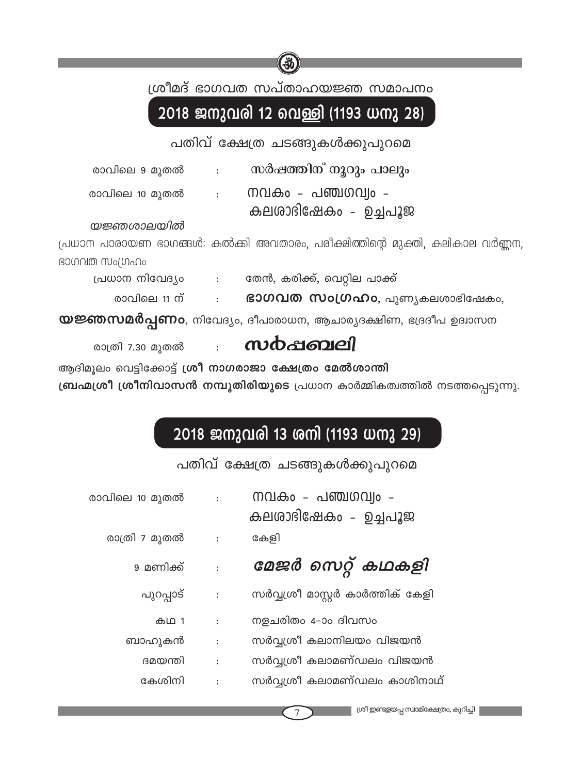

ശ്രീമദ് ഭാഗവത സപ്താഹയജ്ഞ സമാപനം

# 2018 ജനുവരി 12 വെള്ളി (1193 ധനു 28)

പതിവ് ക്ഷേത്ര ചടങ്ങുകൾക്കുപുറമെ

| രാവിലെ 9 മുതൽ  | സർഷത്തിന് നൂറും പാലും      |
|----------------|----------------------------|
| രാവിലെ 10 മുതൽ | <u> നവകം - പഞ്ചഗവ്വം -</u> |
|                | കലരാഭിഷേകം - ചെപ്പൂജ       |

#### യജ്ഞശാലയിൽ

പ്രധാന പാരായണ ഭാഗങ്ങൾ: കൽക്കി അവതാരം, പരീക്ഷിത്തിന്റെ മുക്തി, കലികാല വർണ്ണന ഭാഗവത സംഗ്രഹം

പ്രധാന നിവേദ്യം ഭതൻ, കരിക്ക്, വെറ്റില പാക്ക്

രാവിലെ 11 ന്  $\mathbf{S}$ 300വത സംഗ്രഹം, പുണ്യകലശാഭിഷേകം,  $\Delta \sim 10^{-10}$ 

 $\omega$ ജ്ഞസമർപ്പണം, നിവേദ്യം, ദീപാരാധന, ആചാര്യദക്ഷിണ, ഭദ്രദീപ ഉദ്വാസന

സർപ്പബലി രാത്രി 7.30 മുതൽ

ആദിമുലം വെട്ടിക്കോട്ട് ശ്രീ നാഗരാജാ ക്ഷേത്രം മേൽശാന്തി

ബ്രഹ്മശ്രീ ശ്രീനിവാസൻ നമ്പൂതിരിയുടെ പ്രധാന കാർമ്മികത്വത്തിൽ നടത്തപ്പെടുന്നു.

## 2018 ജനുവരി 13 ശനി (1193 ധനു 29)

പതിവ് ക്ഷേത്ര ചടങ്ങുകൾക്കുപുറമെ

| രാവിലെ 10 മുതൽ | $\ddot{\phantom{a}}$ | നവകം - പഞ്ചഗവ്വം -<br>കലരാദിഷേകം - ഉച്ചപൂജ |
|----------------|----------------------|--------------------------------------------|
| രാത്രി 7 മുതൽ  | $\sim$ 1 $^{\circ}$  | കേളി                                       |
| 9 മണിക്ക്      | $\cdot$              | മേജർ സെറ്റ് കഥകളി                          |
| പുറപ്പാട്      | $\ddot{\cdot}$       | സർവ്വശ്രീ മാസ്റ്റർ കാർത്തിക് കേളി          |
| കഥ 1           | $\ddot{\phantom{a}}$ | നളചരിതം 4–ാം ദിവസം                         |
| ബാഹുകൻ         | $\ddot{\cdot}$       | സർവ്വശ്രീ കലാനിലയം വിജയൻ                   |
| ദമയന്തി        | $\ddot{\cdot}$       | സർവ്വശ്രീ കലാമണ്ഡലം വിജയൻ                  |
| കേശിനി         | $\ddot{\cdot}$       | സർവ്വശ്രീ കലാമണ്ഡലം കാശിനാഥ്               |
|                |                      |                                            |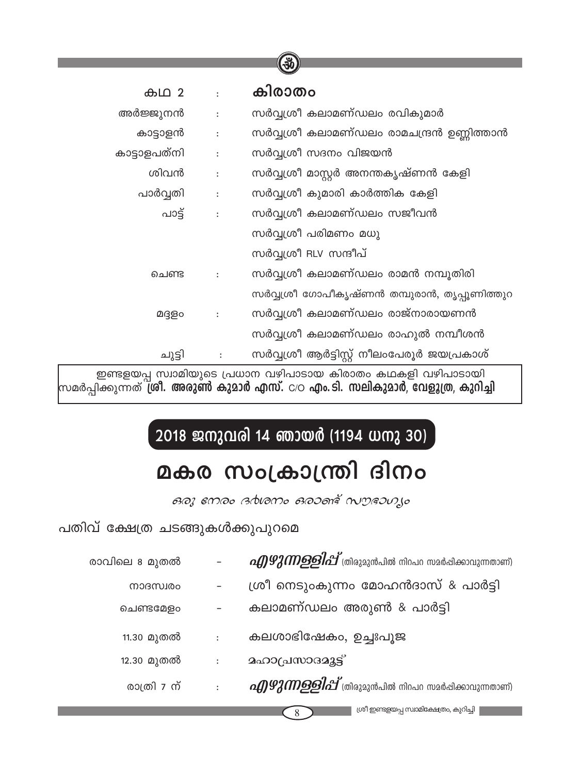|              |                | 36                                           |
|--------------|----------------|----------------------------------------------|
|              |                |                                              |
| കഥ 2         | $\ddot{\cdot}$ | കിരാതം                                       |
| അർജ്ജുനൻ     | $\ddot{\cdot}$ | സർവ്വശ്രീ കലാമണ്ഡലം രവികുമാർ                 |
| കാട്ടാളൻ     | $\ddot{\cdot}$ | സർവ്വശ്രീ കലാമണ്ഡലം രാമചന്ദ്രൻ ഉണ്ണിത്താൻ    |
| കാട്ടാളപത്നി | $\ddot{\cdot}$ | സർവ്വശ്രീ സദനം വിജയൻ                         |
| ശിവൻ         | $\ddot{\cdot}$ | സർവ്വശ്രീ മാസ്റ്റർ അനന്തകൃഷ്ണൻ കേളി          |
| പാർവ്വതി     | $\ddot{\cdot}$ | സർവ്വശ്രീ കുമാരി കാർത്തിക കേളി               |
| പാട്ട്       |                | സർവ്വശ്രീ കലാമണ്ഡലം സജീവൻ                    |
|              |                | സർവ്വശ്രീ പരിമണം മധു                         |
|              |                | സർവ്വശീ RLV സന്ദീപ്                          |
| ചെണ്ട        |                | സർവ്വശ്രീ കലാമണ്ഡലം രാമൻ നമ്പൂതിരി           |
|              |                | സർവ്വശ്രീ ഗോപീകൃഷ്ണൻ തമ്പുരാൻ, തൃപ്പൂണിത്തുറ |
| മദ്ദളം       |                | സർവ്വശ്രീ കലാമണ്ഡലം രാജ്നാരായണൻ              |
|              |                | സർവ്വശ്രീ കലാമണ്ഡലം രാഹുൽ നമ്പീശൻ            |
| ചുട്ടി       |                | സർവ്വശ്രീ ആർട്ടിസ്റ്റ് നീലംപേരൂർ ജയപ്രകാശ്   |

.<br>ഇണ്ടളയപ്പ സ്വാമിയുടെ പ്രധാന വഴിപാടായ കിരാതം കഥകളി വഴിപാടായി സമർപ്പിക്കുന്നത് ശ്രീ. അരുൺ കുമാർ എസ്. c/o എം. ടി. സലികുമാർ, വേളൂത്ര, കുറിച്ചി

# 2018 ജനുവരി 14 ഞായർ (1194 ധനു 30)

# മകര സംക്രാന്ത്രി ദിനം

ดอา emอง advamo ดอวดาร์ ณฑควบ เง

പതിവ് ക്ഷേത്ര ചടങ്ങുകൾക്കുപുറമെ

| രാവിലെ 8 മുതൽ |                      | <i>oA)92 MD9 ളിപ്പ്</i> (തിരുമുൻപിൽ നിറപറ സമർഷിക്കാവുന്നതാണ്)   |
|---------------|----------------------|-----------------------------------------------------------------|
| നാദസ്വരം      |                      | ശ്രീ നെടുംകുന്നം മോഹൻദാസ് & പാർട്ടി                             |
| ചെണ്ടമേളം     |                      | കലാമണ്ഡലം അരുൺ & പാർട്ടി                                        |
| 11.30 മുതൽ    | $\ddot{\cdot}$       | കലശാഭിഷേകം, ഉച്ചഃപൂജ                                            |
| 12.30 മുതൽ    | $\ddot{\phantom{a}}$ | <b>മഹാ</b> പ്രസാദമുട്ട്                                         |
| രാത്രി 7 ന്   | $\ddot{\phantom{a}}$ | <i>oA)92 MD9 ളിപ്പ്</i> (തിരുമുൻപിൽ നിറപറ സമർപ്പിക്കാവുന്നതാണ്) |
|               |                      | ശ്രീ ഇണ്ടളയപ്പ സ്വാമിക്ഷേത്രം, കുറിച്ചി<br>8                    |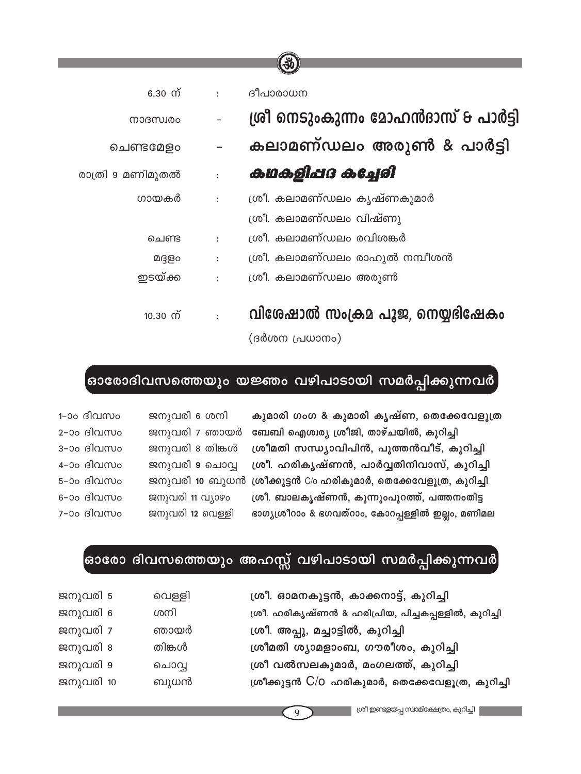|                                    | $\left( 30 \right)$                               |
|------------------------------------|---------------------------------------------------|
|                                    |                                                   |
| 6.30 ന്<br>$\ddot{\cdot}$          | ദീപാരാധന                                          |
| നാദസ്വരം                           | ശ്രീ നെടുംകുന്നം മോഹൻദാസ് & പാർട്ടി               |
| ചെണ്ടമേളം                          | കലാമണ്ഡലം അരുൺ & പാർട്ടി                          |
| രാത്രി 9 മണിമുതൽ<br>$\ddot{\cdot}$ | കഥകളിപ്പദ കച്ചേരി                                 |
| ഗായകർ<br>$\ddot{\cdot}$            | ശ്രീ. കലാമണ്ഡലം കൃഷ്ണകുമാർ                        |
|                                    | ശ്രീ. കലാമണ്ഡലം വിഷ്ണു                            |
| ചെണ്ട<br>$\ddot{\cdot}$            | ശ്രീ. കലാമണ്ഡലം രവിശങ്കർ                          |
| മദ്ദളം<br>:                        | ശ്രീ. കലാമണ്ഡലം രാഹുൽ നമ്പീശൻ                     |
| ഇടയ്ക്ക<br>$\ddot{\cdot}$          | ശ്രീ. കലാമണ്ഡലം അരുൺ                              |
| 10.30 ന്<br>÷                      | വിശേഷാൽ സംക്രമ പൂജ, നെയ്യഭിഷേകം<br>(ദർശന പ്രധാനം) |

## ,<br>ഓരോദിവസത്തെയും യജ്ഞം വഴിപാടായി സമർപ്പിക്കുന്നവർ

കുമാരി ഗംഗ & കുമാരി കൃഷ്ണ, തെക്കേവേളൂത്ര ർ ബേബി ഐശ്വര്യ ശ്രീജി, താഴ്ചയിൽ, കുറിച്ചി ശ്രീമതി സന്ധ്യാവിപിൻ, പുത്തൻവീട്, കുറിച്ചി ശ്രീ. ഹരികൃഷ്ണൻ, പാർവ്വതിനിവാസ്, കുറിച്ചി .<br>സി ശ്രീക്കുട്ടൻ C/o ഹരികുമാർ, തെക്കേവേളൂത്ര, കുറിച്ചി ശ്രീ. ബാലകൃഷ്ണൻ, കുന്നുംപുറത്ത്, പത്തനംതിട്ട ഭാഗ്യശ്രീറാം & ഭഗവത്റാം, കോറപ്പള്ളിൽ ഇല്ലം, മണിമല

| 1-ാം ദിവസം | ജനുവരി 6 ശനി     |
|------------|------------------|
| 2-ാം ദിവസം | ജനുവരി 7 ഞായർ    |
| 3-ാം ദിവസം | ജനുവരി 8 തിങ്കൾ  |
| 4-ാം ദിവസം | ജനുവരി 9 ചൊവ്വ   |
| 5-ാം ദിവസം | ജനുവരി 10 ബുധര   |
| 6-ാം ദിവസം | ജനുവരി 11 വ്യാഴം |
| 7-ാപദിവസം  | ജസവരി 12 വെള്ളി  |

## ഓരോ ദിവസത്തെയും അഹസ്സ് വഴിപാടായി സമർപ്പിക്കുന്നവർ

| ജനുവരി 5  | വെള്ളി | ശ്രീ. ഓമനകുട്ടൻ, കാക്കനാട്ട്, കുറിച്ചി               |
|-----------|--------|------------------------------------------------------|
| ജനുവരി 6  | ശനി    | ശ്രീ. ഹരികൃഷ്ണൻ & ഹരിപ്രിയ, പിച്ചകപ്പള്ളിൽ, കുറിച്ചി |
| ജനുവരി 7  | ഞായർ   | ശ്രീ. അപ്പു, മച്ചാട്ടിൽ, കുറിച്ചി                    |
| ജനുവരി 8  | തിങ്കൾ | ശ്രീമതി ശ്യാമളാംബ, ഗൗരീശം, കുറിച്ചി                  |
| ജനുവരി 9  | ചൊവ്വ  | ശ്രീ വൽസലകുമാർ, മംഗലത്ത്, കുറിച്ചി                   |
| ജനുവരി 10 | ബുധൻ   | ശ്രീക്കുട്ടൻ C/O ഹരികുമാർ, തെക്കേവേളൂത്ര, കുറിച്ചി   |
|           |        |                                                      |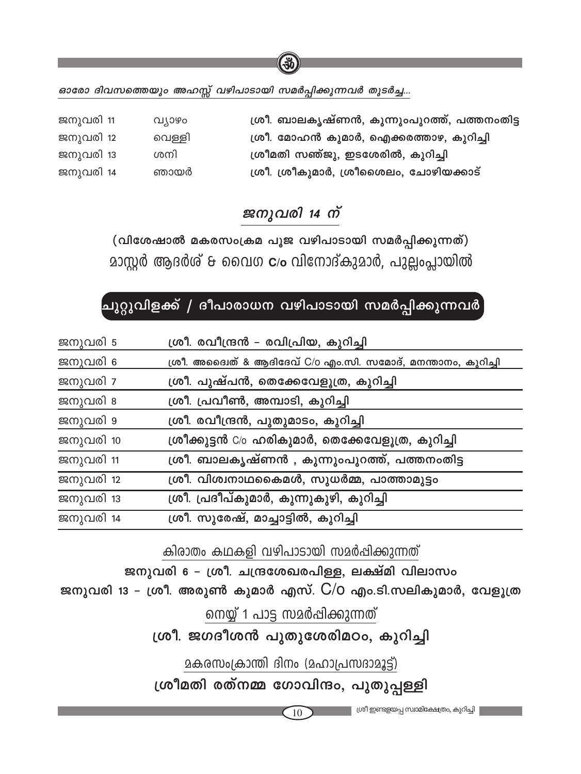ഓരോ ദിവസത്തെയും അഹസ്സ് വഴിപാടായി സമർപ്പിക്കുന്നവർ തുടർച്ച...

| ജനുവരി 11 | വ്യാഴം | ശ്രീ. ബാലകൃഷ്ണൻ, കുന്നുംപുറത്ത്, പത്തനംതിട്ട |
|-----------|--------|----------------------------------------------|
| ജനുവരി 12 | വെള്ളി | ശ്രീ. മോഹൻ കുമാർ, ഐക്കരത്താഴ, കുറിച്ചി       |
| ജനുവരി 13 | ശനി    | ശ്രീമതി സഞ്ജു, ഇടശേരിൽ, കുറിച്ചി             |
| ജനുവരി 14 | ഞായർ   | ശ്രീ. ശ്രീകുമാർ, ശ്രീശൈലം, ചോഴിയക്കാട്       |

 $\frac{3}{2}$ 

## ജനുവരി 14 ന്

(വിശേഷാൽ മകരസംക്രമ പൂജ വഴിപാടായി സമർപ്പിക്കുന്നത്) മാസ്റ്റർ ആദർശ് & വൈഗ **c**/ം വിനോദ്കുമാർ, പുല്ലംപ്ലായിൽ

## ചുറ്റുവിളക്ക് / ദീപാരാധന വഴിപാടായി സമർപ്പിക്കുന്നവർ

| ജനുവരി 5  | ശ്രീ. രവീന്ദ്രൻ – രവിപ്രിയ, കുറിച്ചി                         |
|-----------|--------------------------------------------------------------|
| ജനുവരി 6  | ശ്രീ. അദ്വൈത് & ആദിദേവ് C/o എം.സി. സമോദ്, മനന്താനം, കുറിച്ചി |
| ജനുവരി 7  | ശ്രീ. പുഷ്പൻ, തെക്കേവേളൂത്ര, കുറിച്ചി                        |
| ജനുവരി 8  | ശ്രീ. പ്രവീൺ, അമ്പാടി, കുറിച്ചി                              |
| ജനുവരി 9  | ശ്രീ. രവീന്ദ്രൻ, പുതുമാടം, കുറിച്ചി                          |
| ജനുവരി 10 | ശ്രീക്കുട്ടൻ C/o ഹരികുമാർ, തെക്കേവേളൂത്ര, കുറിച്ചി           |
| ജനുവരി 11 | ശ്രീ. ബാലകൃഷ്ണൻ , കുന്നുംപുറത്ത്, പത്തനംതിട്ട                |
| ജനുവരി 12 | ശ്രീ. വിശ്വനാഥകൈമൾ, സുധർമ്മ, പാത്താമുട്ടം                    |
| ജനുവരി 13 | ശ്രീ. പ്രദീപ്കുമാർ, കുന്നുകുഴി, കുറിച്ചി                     |
| ജനുവരി 14 | ശ്രീ. സുരേഷ്, മാച്ചാട്ടിൽ, കുറിച്ചി                          |

കിരാതം കഥകളി വഴിപാടായി സമർപ്പിക്കുന്നത്

ജനുവരി 6 - ശ്രീ. ചന്ദ്രശേഖരപിള്ള, ലക്ഷ്മി വിലാസം

ജനുവരി 13 - ശ്രീ. അരുൺ കുമാർ എസ്. C/O എം.ടി.സലികുമാർ, വേളൂത്ര

നെയ്യ് 1 പാട്ട സമർപ്പിക്കുന്നത്

ശ്രീ. ജഗദീശൻ പുതുശേരിമഠം, കുറിച്ചി

മകരസംക്രാന്തി ദിനം (മഹാപ്രസദാമൂട്ട്)

ശ്രീമതി രത്നമ്മ ഗോവിന്ദം, പുതുപ്പള്ളി

10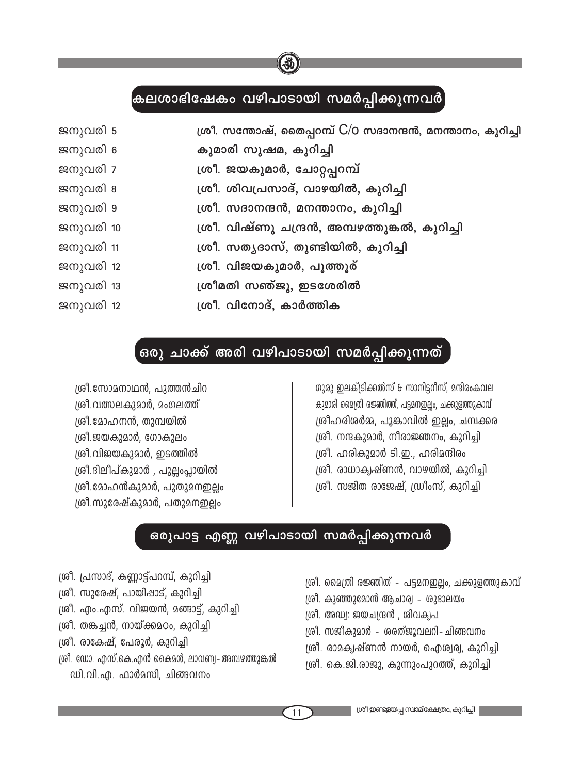### <mark>(കലശാഭിഷേകം വഴിപാടായി സമർപ്പിക്കുന്നവർ</mark>

| ജനുവരി 5  | ശ്രീ. സന്തോഷ്, തൈപ്പറമ്പ് C/O സദാനന്ദൻ, മനന്താനം, കുറിച്ചി |
|-----------|------------------------------------------------------------|
| ജനുവരി 6  | കുമാരി സുഷമ, കുറിച്ചി                                      |
| ജനുവരി 7  | ശ്രീ. ജയകുമാർ, ചോറ്റപ്പറമ്പ്                               |
| ജനുവരി 8  | ശ്രീ. ശിവപ്രസാദ്, വാഴയിൽ, കുറിച്ചി                         |
| ജനുവരി 9  | ശ്രീ. സദാനന്ദൻ, മനന്താനം, കുറിച്ചി                         |
| ജനുവരി 10 | ശ്രീ. വിഷ്ണു ചന്ദ്രൻ, അമ്പഴത്തുങ്കൽ, കുറിച്ചി              |
| ജനുവരി 11 | ശ്രീ. സത്യദാസ്, തുണ്ടിയിൽ, കുറിച്ചി                        |
| ജനുവരി 12 | ശ്രീ. വിജയകുമാർ, പൂത്തൂര്                                  |
| ജനുവരി 13 | ശ്രീമതി സഞ്ജു, ഇടശേരിൽ                                     |
| ജനുവരി 12 | ശ്രീ. വിനോദ്, കാർത്തിക                                     |

### $\boldsymbol{\epsilon}$ രു ചാക്ക് അരി വഴിപാടായി സമർപ്പിക്കുന്നത്

 $[$ ശി.സോമനാഥൻ, പുത്തൻചിറ 1ശീ.വത്സലകുമാർ, മംഗലത്ത്  $[$ ശി.മോഹനൻ, തുമ്പയിൽ ത്രി.ജയകുമാർ, ഗോകുലം  $[$ ശി.വിജയകുമാർ, ഇടത്തിൽ ്രരീ.ദിലീപ്കുമാർ , പുല്ലംപ്ലായിൽ *i*ശീ.മോഹൻകുമാർ, പുതുമനഇലം  $[$ ശി.സുരേഷ്കുമാർ, പതുമനഇലം

ഗുരു ഇലക്ട്രിക്കൽസ് & സാനിട്ടറീസ്, മന്ദിരംകവല കുമാരി മൈത്രി രജ്ഞിത്ത്, പട്ടമനഇല്ലം, ചക്കുളത്തുകാവ്  $[$ ശ്രീഹരിശർമ്മ, പൂങ്കാവിൽ ഇല്ലം, ചമ്പക്കര ത്രീ. നന്ദകുമാർ, നീരാജ്ഞനം, കുറിച്ചി ക്രീ. ഹരികുമാർ ടി.ഇ., ഹരിമന്ദിരം ്രരീ. രാധാകൃഷ്ണൻ, വാഴയിൽ, കുറിച്ചി ക്രീ. സജിത രാജേഷ്, ഡ്രീംസ്, കുറിച്ചി

### ഒരുപാട്ട എണ്ണ വഴിപാടായി സമർപ്പിക്കുന്നവർ

- ്രി. പ്രസാദ്, കണ്ണാട്ട്പറമ്പ്, കുറിച്ചി
- $[$ ശി, സുരേഷ്, പായിപ്പാട്, കുറിച്ചി
- $[$ ശി. എം.എസ്. വിജയൻ, മങ്ങാട്ട്, കുറിച്ചി
- $[$ ശി. തങ്കച്ചൻ, നായ്ക്കുമഠം, കുറിച്ചി
- $[$ ശി, രാകേഷ്, പേരൂർ, കുറിച്ചി
- $[$ ശി. ഡോ. എസ്.കെ.എൻ കൈമൾ, ലാവണ്വ- അമ്പഴത്തുങ്കൽ  $\omega$ ി.വി.എ. ഫാർമസി, ചിങ്ങവനം
- $[$ ശി. മൈത്രി രജ്ഞിത് പട്ടമനഇല്ലം, ചക്കുളത്തുകാവ്
- $[0.01]$ . കുഞ്ഞുമോൻ ആചാര്വ ശുഭാലയം
- $[$ ശി. അഡ്വ: ജയചന്ദ്രൻ , ശിവക്വപ
- ശ്രീ. സജീകുമാർ ശരത്ജൂവലറി-ചിങ്ങവനം
- $[$ ശി, രാമക്വഷ്ണൻ നായർ, ഐശ്വര്വ, കുറിച്ചി
- $|$ ശി, കെ.ജി.രാജു, കുന്നുംപുറത്ത്, കുറിച്ചി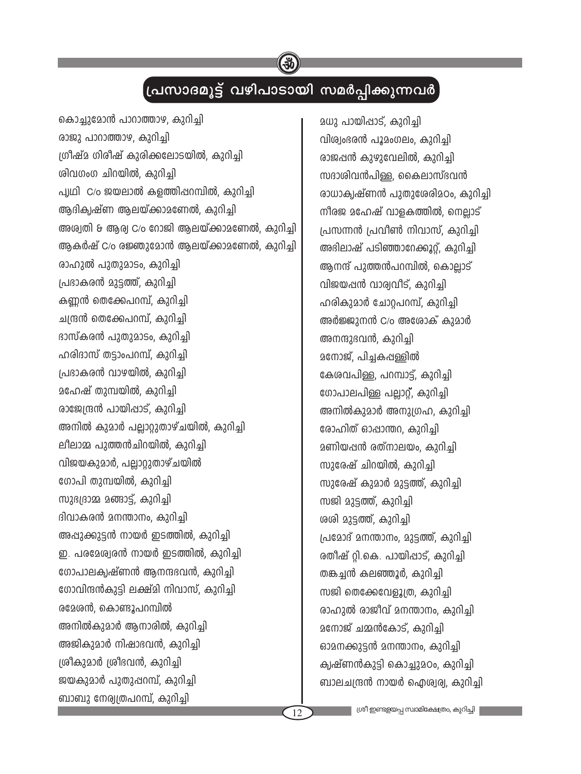## (പ്രസാദമൂട്ട് വഴിപാടായി സമർപ്പിക്കുന്നവർ

കൊച്ചുമോൻ പാറാത്താഴ, കുറിച്ചി രാജു പാറാത്താഴ, കുറിച്ചി ശ്രീഷ്മ ഗിരീഷ് കുരിക്കലോടയിൽ, കുറിച്ചി ശിവഗംഗ ചിറയിൽ, കുറിച്ചി പ്പഥി, C/o ജയലാൽ കളത്തിപ്പറമ്പിൽ, കുറിചി ആദിക്വഷ്ണ ആലയ്ക്കാമണേൽ, കുറിച്ചി അശ്വതി & ആര്വ C/o റോജി ആലയ്ക്കാമണേൽ, കുറിച്ചി ആകർഷ് C/o രജ്ഞുമോൻ ആലയ്ക്കാമണേൽ, കുറിച്ചി രാഹുൽ പുതുമാടം, കുറിച്ചി പ്രഭാകരൻ മുട്ടത്ത്, കുറിച്ചി കണ്ണൻ തെക്കേപറമ്പ്, കുറിച്ചി ചന്ദ്രൻ തെക്കേപറമ്പ്, കുറിച്ചി ദാസ്കരൻ പുതുമാടം, കുറിച്ചി ഹരിദാസ് തട്ടാംപറമ്പ്, കുറിച്ചി പ്രഭാകരൻ വാഴയിൽ, കുറിച്ചി <u>മഹേഷ് തുമ്പയിൽ, കുറിച്ചി</u> രാജേന്ദ്രൻ പായിപ്പാട്, കുറിച്ചി അനിൽ കുമാർ പലാറുതാഴ്ചയിൽ, കുറിച്ചി ലീലാമ്മ പുത്തൻചിറയിൽ, കുറിച്ചി വിജയകുമാർ, പല്ലാറ്റുതാഴ്ചയിൽ ഗോപി തുമ്പയിൽ, കുറിച്ചി സുദ്യദാമ്മ മങ്ങാട്, കുറിച്ചി ദിവാകരൻ മനന്താനം, കുറിച്ചി അപ്പുക്കുട്ടൻ നായർ ഇടത്തിൽ, കുറിച്ചി ഇ. പരമേശ്വരൻ നായർ ഇടത്തിൽ, കുറിച്ചി ഗോപാലക്വഷ്ണൻ ആനന്ദഭവൻ, കുറിച്ചി ഗോവിന്ദൻകുട്ടി ലക്ഷ്മി നിവാസ്, കുറിച്ചി രമേശൻ, കൊണ്ടൂപറമ്പിൽ അനിൽകുമാർ ആനാരിൽ, കുറിച്ചി അജികുമാർ നിഷാഭവൻ, കുറിച്ചി ശ്രീകുമാർ ശ്രീദവൻ, കുറിച്ചി ജയകുമാർ പുതുഷറമ്പ്, കുറിച്ചി ബാബു നേര്വത്രപറമ്പ്, കുറിച്ചി

മധു പായിപ്പാട്, കുറിച്ചി വിശ്വംഭരൻ പൂമംഗലം, കുറിച്ചി രാജപ്പൻ കുഴുവേലിൽ, കുറിച്ചി സദാശിവൻപിള്ള, കൈലാസ്ഭവൻ രാധാക്വഷ്ണൻ പുതുശേരിമഠം, കുറിച്ചി നീരജ മഹേഷ് വാളകത്തിൽ, നെല്ലാട് പ്രസന്നൻ പ്രവീൺ നിവാസ്, കുറിച്ചി അഭിലാഷ് പടിഞ്ഞാറേക്കൂറ്. കുറിച്ചി ആനന്ദ് പുത്തൻപറമ്പിൽ, കൊല്ലാട് വിജയപ്പൻ വാര്വവീട്. കുറിചി ഹരികുമാർ ചോറപറമ്പ്, കുറിച്ചി അർജ്ജുനൻ C/o അശോക് കുമാർ അനന്ദുഭവൻ, കുറിച്ചി മനോജ്, പിച്ചകപ്പള്ളിൽ കേശവപിള്ള, പറമ്പാട്, കുറിച്ചി ഗോപാലപിള്ള പല്ലാറ്. കുറിച്ചി അനിൽകുമാർ അനുഗ്രഹ, കുറിച്ചി രോഹിത് ഓപ്പാന്തറ, കുറിച്ചി മണിയപ്പൻ രത്നാലയം, കുറിച്ചി സുരേഷ് ചിറയിൽ, കുറിച്ചി സുരേഷ് കുമാർ മുട്ടത്ത്, കുറിച്ചി സജി മുട്ടത്ത്, കുറിച്ചി ശശി മുട്ടത്ത്, കുറിച്ചി പ്രമോദ് മനന്താനം, മുട്ടത്ത്, കുറിച്ചി രതീഷ് റി.കെ. പായിപ്പാട്, കുറിച്ചി തങ്കച്ചൻ കലഞ്ഞൂർ, കുറിച്ചി സജി തെക്കേവേളൂത്ര, കുറിച്ചി രാഹുൽ രാജീവ് മനന്താനം, കുറിച്ചി മനോജ് ചമ്മൻകോട്, കുറിച്ചി ഓമനക്കുട്ടൻ മനന്താനം, കുറിച്ചി ക്വഷ്ണൻകുട്ടി കൊച്ചുമഠം, കുറിച്ചി ബാലചന്ദ്രൻ നായർ ഐശ്വര്വ, കുറിച്ചി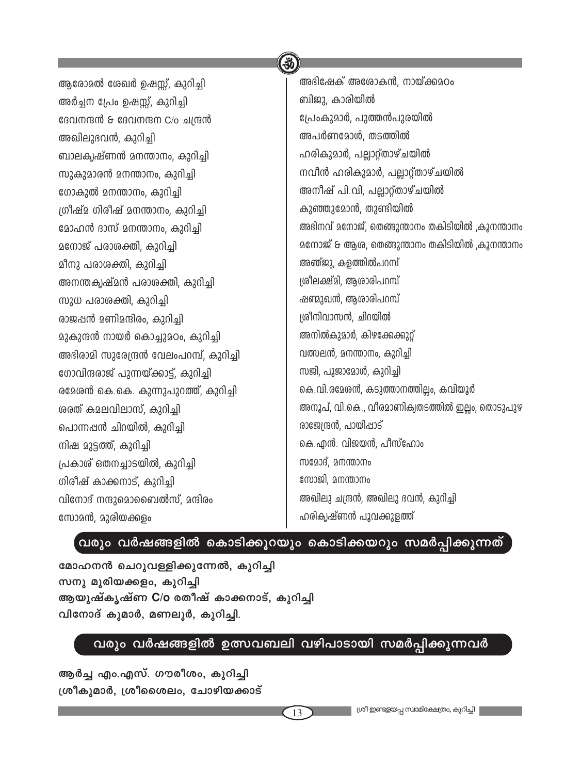|                                         | ( An                                            |
|-----------------------------------------|-------------------------------------------------|
| ആരോമൽ ശേഖർ ഉഷസ്സ്, കുറിച്ചി             | അഭിഷേക് അശോകൻ, നായ്ക്കുമഠം                      |
| അർച്ചന പ്രേം ഉഷസ്സ്, കുറിച്ചി           | ബിജു, കാരിയിൽ                                   |
| ദേവനന്ദൻ & ദേവനന്ദന C/o ചന്ദ്രൻ         | പ്രേംകുമാർ, പുത്തൻപുരയിൽ                        |
| അഖിലുദവൻ, കുറിച്ചി                      | അപർണമോൾ, തടത്തിൽ                                |
| ബാലകൃഷ്ണൻ മനന്താനം, കുറിച്ചി            | ഹരികുമാർ, പല്ലാറ്റ്താഴ്ചയിൽ                     |
| സുകുമാരൻ മനന്താനം, കുറിച്ചി             | നവീൻ ഹരികുമാർ, പല്ലാറ്റ്താഴ്ചയിൽ                |
| ഗോകുൽ മനന്താനം, കുറിച്ചി                | അനീഷ് പി.വി, പല്ലാറ്റ്താഴ്ചയിൽ                  |
| ഗ്രീഷ്മ ഗിരീഷ് മനന്താനം, കുറിച്ചി       | കുഞ്ഞുമോൻ, തുണ്ടിയിൽ                            |
| മോഹൻ ദാസ് മനന്താനം, കുറിച്ചി            | അഭിനവ് മനോജ്, തെങ്ങുന്താനം തകിടിയിൽ ,കൂനന്താനം  |
| മനോജ് പരാശക്തി, കുറിച്ചി                | മനോജ് & ആശ, തെങ്ങുന്താനം തകിടിയിൽ ,കൂനന്താനം    |
| മീനു പരാശക്തി, കുറിച്ചി                 | അഞ്ജു, കളത്തിൽപറമ്പ്                            |
| അനന്തക്വഷ്മൻ പരാശക്തി, കുറിച്ചി         | ശ്രീലക്ഷ്മി, ആശാരിപറമ്പ്                        |
| സുധ പരാശക്തി, കുറിച്ചി                  | ഷണ്മുഖൻ, ആശാരിപറമ്പ്                            |
| രാജപ്പൻ മണിമന്ദിരം, കുറിച്ചി            | ശ്രീനിവാസൻ, ചിറയിൽ                              |
| മുകുന്ദൻ നായർ കൊച്ചുമഠം, കുറിച്ചി       | അനിൽകുമാർ, കിഴക്കേക്കുറ്റ്                      |
| അഭിരാമി സുരേന്ദ്രൻ വേലംപറമ്പ്, കുറിച്ചി | വത്സലൻ, മനന്താനം, കുറിച്ചി                      |
| ഗോവിന്ദരാജ് പുന്നയ്ക്കാട്ട്, കുറിച്ചി   | സജി, പൂജാമോൾ, കുറിച്ചി                          |
| രമേശൻ കെ.കെ. കുന്നുപുറത്ത്, കുറിച്ചി    | കെ.വി.രമേശൻ, കടുത്താനത്തില്ലം, കവിയൂർ           |
| രരത് കമലവിലാസ്, കുറിച്ചി                | അനൂപ്, വി.കെ., വീരമാണിക്വതടത്തിൽ ഇല്ലം, തൊടുപുഴ |
| പൊന്നപ്പൻ ചിറയിൽ, കുറിച്ചി              | രാജേന്ദ്രൻ, പായിപ്പാട്                          |
| നിഷ മുട്ടത്ത്, കുറിച്ചി                 | കെ.എൻ. വിജയൻ, പീസ്ഹോം                           |
| പ്രകാശ് ഒതനച്ചാടയിൽ, കുറിച്ചി           | സമോദ്, മനന്താനം                                 |
| ഗിരീഷ് കാക്കനാട്, കുറിച്ചി              | സോജി, മനന്താനം                                  |
| വിനോദ് നന്ദുമൊബൈൽസ്, മന്ദിരം            | അഖിലു ചന്ദ്രൻ, അഖിലു ഭവൻ, കുറിച്ചി              |
| സോമൻ, മുരിയക്കളം                        | ഹരികൃഷ്ണൻ പൂവക്കുളത്ത്                          |
|                                         |                                                 |

 $\sqrt{2}$ 

### ,<br>വരും വർഷങ്ങളിൽ കൊടിക്കൂറയും കൊടിക്കയറും സമർപ്പിക്കുന്നത്

മോഹനൻ ചെറുവള്ളിക്കുന്നേൽ, കുറിച്ചി സനു മുരിയക്കളം, കുറിച്ചി ആയുഷ്കൃഷ്ണ C/o രതീഷ് കാക്കനാട്, കുറിച്ചി വിനോദ് കുമാർ, മണലൂർ, കുറിച്ചി.

## വരും വർഷങ്ങളിൽ ഉത്സവബലി വഴിപാടായി സമർപ്പിക്കുന്നവർ

ആർച്ച എം.എസ്. ഗൗരീശം, കുറിച്ചി ശ്രീകുമാർ, ശ്രീശൈലം, ചോഴിയക്കാട്

 $\sqrt{13}$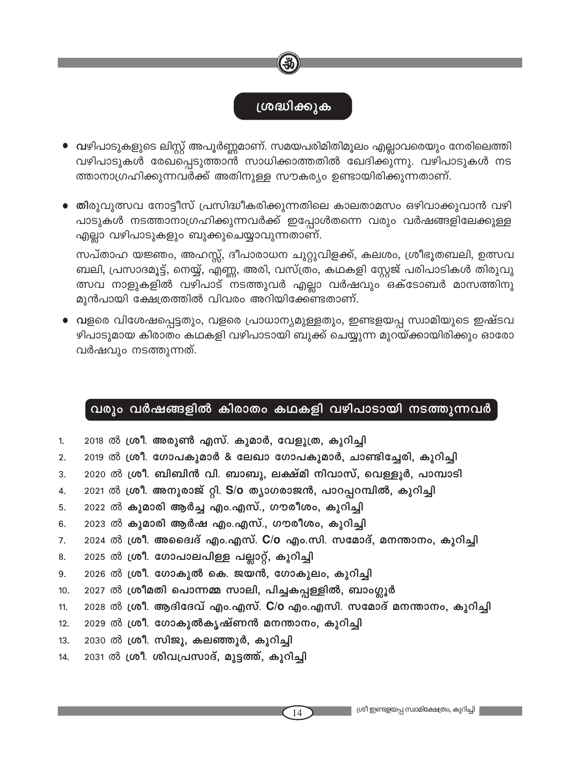### ശ്രദ്ധിക്കുക

- വഴിപാടുകളുടെ ലിസ്റ്റ് അപൂർണ്ണമാണ്. സമയപരിമിതിമൂലം എല്ലാവരെയും നേരിലെത്തി വഴിപാടുകൾ രേഖപ്പെടുത്താന്8 സാധിക്കാത്തതിൽ ഖേദിക്കുന്നു. വഴിപാടുകൾ നട ത്താനാഗ്രഹിക്കുന്നവർക്ക് അതിനുള്ള സൗകര്യം ഉണ്ടായിരിക്കുന്നതാണ്.
- തിരുവുത്സവ നോട്ടീസ് പ്രസിദ്ധീകരിക്കുന്നതിലെ കാലതാമസം ഒഴിവാക്കുവാൻ വഴി പാടുകൾ നടത്താനാഗ്രഹിക്കുന്നവർക്ക് ഇപ്പോൾതന്നെ വരും വർഷങ്ങളിലേക്കുള്ള എല്ലാ വഴിപാടുകളും ബുക്കുചെയ്യാവുന്നതാണ്.

സപ്താഹ യജ്ഞം, അഹസ്സ്, ദീപാരാധന ചുറ്റുവിളക്ക്, കലശം, ശ്രീഭൂതബലി, ഉത്സവ ബലി, പ്രസാദമൂട്ട്, നെയ്യ്, എണ്ണ, അരി, വസ്ത്രം, കഥകളി സ്റ്റേജ് പരിപാടികൾ തിരുവു ത്സവ നാളുകളിൽ വഴിപാട് നടത്തുവർ എല്ലാ വർഷവും ഒക്ടോബർ മാസത്തിനു മുൻപായി ക്ഷേത്രത്തിൽ വിവരം അറിയിക്കേണ്ടതാണ്.

• വളരെ വിശേഷപ്പെട്ടതും, വളരെ പ്രാധാന്യമുള്ളതും, ഇണ്ടളയപ്പ സ്വാമിയുടെ ഇഷ്ടവ ഴിപാടുമായ കിരാതം കഥകളി വഴിപാടായി ബുക്ക് ചെയ്യുന്ന മുറയ്ക്കായിരിക്കും ഓരോ വർഷവും നടത്തുന്നത്.

### വരും വർഷങ്ങളിൽ കിരാതം കഥകളി വഴിപാടായി നടത്തുന്നവർ

- 2018 ൽ ശ്രീ. അരുൺ എസ്. കുമാർ, വേളൂത്ര, കുറിച്ചി 1.
- 2019 ൽ ശ്രീ. ഗോപകുമാർ & ലേഖാ ഗോപകുമാർ, ചാണ്ടിച്ചേരി, കുറിച്ചി  $2.$
- 2020 ൽ ശ്രീ. ബിബിൻ വി. ബാബു, ലക്ഷ്മി നിവാസ്, വെള്ളൂർ, പാമ്പാടി 3.
- 2021 ൽ ശ്രീ. അനുരാജ് റ്റി. S/o ത്യാഗരാജൻ, പാറപ്പറമ്പിൽ, കുറിച്ചി 4.
- 2022 ൽ കുമാരി ആർച്ച എം.എസ്., ഗൗരീശം, കുറിച്ചി 5.
- 2023 ൽ കുമാരി ആർഷ എം.എസ്., ഗൗരീശം, കുറിച്ചി  $6.$
- 2024 ൽ ശ്രീ. അദൈദ് എം.എസ്. C/o എം.സി. സമോദ്, മനന്താനം, കുറിച്ചി  $7.$
- 2025 ൽ ശ്രീ. ഗോപാലപിള്ള പല്ലാറ്റ്, കുറിച്ചി 8.
- 2026 ൽ ശ്രീ. ഗോകുൽ കെ. ജയൻ, ഗോകുലം, കുറിച്ചി 9.
- 2027 ൽ ശ്രീമതി പൊന്നമ്മ സാലി, പിച്ചകപ്പള്ളിൽ, ബാംഗ്ലൂർ  $10.$
- 2028 ൽ ശ്രീ. ആദിദേവ് എം.എസ്. C/o എം.എസി. സമോദ് മനന്താനം, കുറിച്ചി  $11.$

14

- 2029 ൽ ശ്രീ. ഗോകുൽകൃഷ്ണൻ മനന്താനം, കുറിച്ചി  $12.$
- 2030 ൽ ശ്രീ. സിജു, കലഞ്ഞൂർ, കുറിച്ചി  $13.$
- 2031 ൽ ശ്രീ. ശിവപ്രസാദ്, മുട്ടത്ത്, കുറിച്ചി  $14.$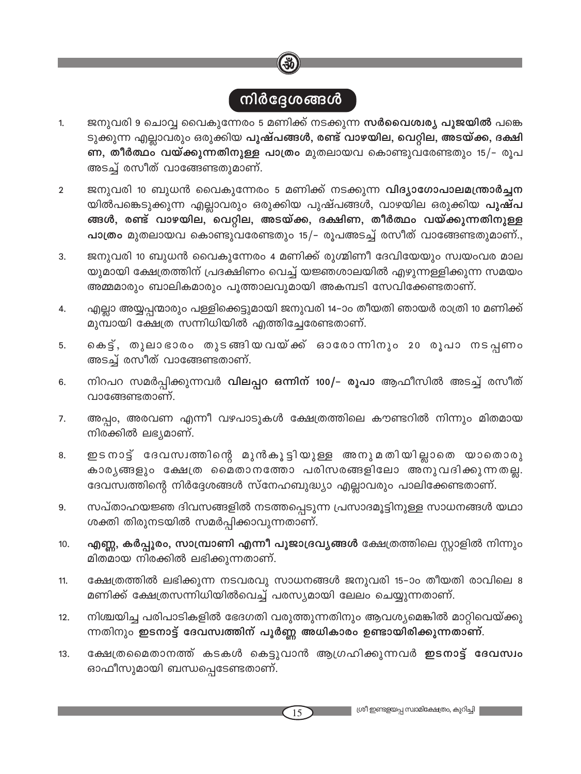## <u>നിർദ്ദേശങ്ങൾ</u>

- ജനുവരി 9 ചൊവ്വ വൈകുന്നേരം 5 മണിക്ക് നടക്കുന്ന <mark>സർവൈശ്വര്യ പൂജയിൽ</mark> പങ്കെ  $1.$ ടുക്കുന്ന എല്ലാവരും ഒരുക്കിയ <mark>പുഷ്പങ്ങൾ, രണ്ട് വാഴയില, വെറ്റില, അടയ്ക്ക, ദക്ഷി</mark> ണ, തീർത്ഥം വയ്ക്കുന്നതിനുള്ള പാത്രം മുതലായവ കൊണ്ടുവരേണ്ടതും 15/- രൂപ അടച്ച് രസീത് വാങ്ങേണ്ടതുമാണ്.
- ജനുവരി 10 ബുധൻ വൈകുന്നേരം 5 മണിക്ക് നടക്കുന്ന വിദ്യാഗോപാലമന്ത്രാർച്ചന  $\overline{2}$ യിൽപങ്കെടുക്കുന്ന എല്ലാവരും ഒരുക്കിയ പുഷ്പങ്ങൾ, വാഴയില ഒരുക്കിയ <mark>പുഷ്പ</mark> ങ്ങൾ, രണ്ട് വാഴയില, വെറ്റില, അടയ്ക്ക, ദക്ഷിണ, തീർത്ഥം വയ്ക്കുന്നതിനുള്ള പാത്രം മുതലായവ കൊണ്ടുവരേണ്ടതും 15/- രൂപഅടച്ച് രസീത് വാങ്ങേണ്ടതുമാണ്.,
- ജനുവരി 10 ബുധൻ വൈകുന്നേരം 4 മണിക്ക് രുഗ്മിണീ ദേവിയേയും സ്വയംവര മാല 3. യുമായി ക്ഷേത്രത്തിന് പ്രദക്ഷിണം വെച്ച് യജ്ഞശാലയിൽ എഴുന്നള്ളിക്കുന്ന സമയം അമ്മമാരും ബാലികമാരും പൂത്താലവുമായി അകമ്പടി സേവിക്കേണ്ടതാണ്.
- എല്ലാ അയ്യപ്പന്മാരും പള്ളിക്കെട്ടുമായി ജനുവരി 14-ാം തീയതി ഞായർ രാത്രി 10 മണിക്ക്  $4.$ മുമ്പായി ക്ഷേത്ര സന്നിധിയിൽ എത്തിച്ചേരേണ്ടതാണ്.
- കെട്ട്, തുലാഭാരം തുടങ്ങിയവയ്ക്ക് ഓരോന്നിനും 20 രൂപാ നടപ്പണം 5. അടച്ച് രസീത് വാങ്ങേണ്ടതാണ്.
- നിറപറ സമർപ്പിക്കുന്നവർ വിലപ്പറ ഒന്നിന് 100/- രൂപാ ആഫീസിൽ അടച്ച് രസീത് 6. വാങ്ങേണ്ടതാണ്.
- അപ്പം, അരവണ എന്നീ വഴപാടുകൾ ക്ഷേത്രത്തിലെ കൗണ്ടറിൽ നിന്നും മിതമായ 7. നിരക്കിൽ ലഭ്യമാണ്.
- ഇടനാട്ട് ദേവസ്വത്തിന്റെ മുൻകൂട്ടിയുള്ള അനുമതിയില്ലാതെ യാതൊരു 8. കാര്യങ്ങളും ക്ഷേത്ര മൈതാനത്തോ പരിസരങ്ങളിലോ അനുവദിക്കുന്നതല്ല. ദേവസ്വത്തിന്റെ നിർദ്ദേശങ്ങൾ സ്നേഹബുദ്ധ്യാ എല്ലാവരും പാലിക്കേണ്ടതാണ്.
- സപ്താഹയജ്ഞ ദിവസങ്ങളിൽ നടത്തപ്പെടുന്ന പ്രസാദമൂട്ടിനുള്ള സാധനങ്ങൾ യഥാ 9. ശക്തി തിരുനടയിൽ സമർപ്പിക്കാവുന്നതാണ്.
- എണ്ണ, കർപ്പൂരം, സാമ്പ്രാണി എന്നീ പൂജാദ്രവ്യങ്ങൾ ക്ഷേത്രത്തിലെ സ്റ്റാളിൽ നിന്നും 10. മിതമായ നിരക്കിൽ ലഭിക്കുന്നതാണ്.
- ക്ഷേത്രത്തിൽ ലഭിക്കുന്ന നടവരവു സാധനങ്ങൾ ജനുവരി 15–ാം തീയതി രാവിലെ 8  $11.$ മണിക്ക് ക്ഷേത്രസന്നിധിയിൽവെച്ച് പരസ്യമായി ലേലം ചെയ്യുന്നതാണ്.
- നിശ്ചയിച്ച പരിപാടികളിൽ ഭേദഗതി വരുത്തുന്നതിനും ആവശ്യമെങ്കിൽ മാറ്റിവെയ്ക്കു  $12.$ ന്നതിനും ഇടനാട്ട് ദേവസ്വത്തിന് പൂർണ്ണ അധികാരം ഉണ്ടായിരിക്കുന്നതാണ്.
- ക്ഷേത്രമൈതാനത്ത് കടകൾ കെട്ടുവാൻ ആഗ്രഹിക്കുന്നവർ ഇടനാട്ട് ദേവസ്വം  $13.$ ഓഫീസുമായി ബന്ധപ്പെടേണ്ടതാണ്.